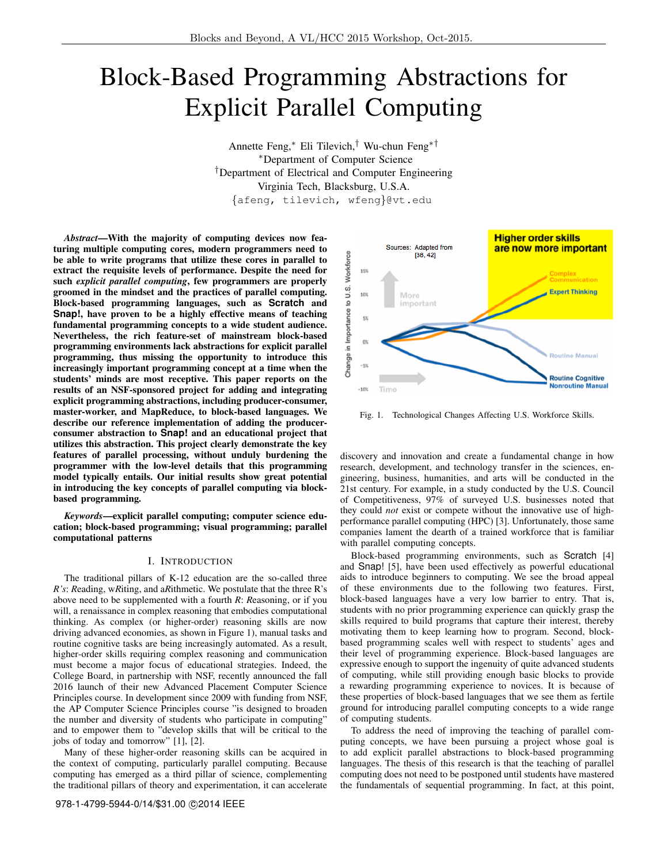# Block-Based Programming Abstractions for Explicit Parallel Computing

Annette Feng,⇤ Eli Tilevich,*†* Wu-chun Feng⇤*†* ⇤Department of Computer Science *†*Department of Electrical and Computer Engineering Virginia Tech, Blacksburg, U.S.A. *{*afeng, tilevich, wfeng*}*@vt.edu

*Abstract*—With the majority of computing devices now featuring multiple computing cores, modern programmers need to be able to write programs that utilize these cores in parallel to extract the requisite levels of performance. Despite the need for such *explicit parallel computing*, few programmers are properly groomed in the mindset and the practices of parallel computing. Block-based programming languages, such as **Scratch** and **Snap!**, have proven to be a highly effective means of teaching fundamental programming concepts to a wide student audience. Nevertheless, the rich feature-set of mainstream block-based programming environments lack abstractions for explicit parallel programming, thus missing the opportunity to introduce this increasingly important programming concept at a time when the students' minds are most receptive. This paper reports on the results of an NSF-sponsored project for adding and integrating explicit programming abstractions, including producer-consumer, master-worker, and MapReduce, to block-based languages. We describe our reference implementation of adding the producerconsumer abstraction to **Snap!** and an educational project that utilizes this abstraction. This project clearly demonstrate the key features of parallel processing, without unduly burdening the programmer with the low-level details that this programming model typically entails. Our initial results show great potential in introducing the key concepts of parallel computing via blockbased programming.

*Keywords*—explicit parallel computing; computer science education; block-based programming; visual programming; parallel computational patterns

## I. INTRODUCTION

The traditional pillars of K-12 education are the so-called three *R's*: *R*eading, w*R*iting, and a*R*ithmetic. We postulate that the three R's above need to be supplemented with a fourth *R*: *R*easoning, or if you will, a renaissance in complex reasoning that embodies computational thinking. As complex (or higher-order) reasoning skills are now driving advanced economies, as shown in Figure 1), manual tasks and routine cognitive tasks are being increasingly automated. As a result, higher-order skills requiring complex reasoning and communication must become a major focus of educational strategies. Indeed, the College Board, in partnership with NSF, recently announced the fall 2016 launch of their new Advanced Placement Computer Science Principles course. In development since 2009 with funding from NSF, the AP Computer Science Principles course "is designed to broaden the number and diversity of students who participate in computing" and to empower them to "develop skills that will be critical to the jobs of today and tomorrow" [1], [2].

Many of these higher-order reasoning skills can be acquired in the context of computing, particularly parallel computing. Because computing has emerged as a third pillar of science, complementing the traditional pillars of theory and experimentation, it can accelerate



Fig. 1. Technological Changes Affecting U.S. Workforce Skills.

discovery and innovation and create a fundamental change in how research, development, and technology transfer in the sciences, engineering, business, humanities, and arts will be conducted in the 21st century. For example, in a study conducted by the U.S. Council of Competitiveness, 97% of surveyed U.S. businesses noted that they could *not* exist or compete without the innovative use of highperformance parallel computing (HPC) [3]. Unfortunately, those same companies lament the dearth of a trained workforce that is familiar with parallel computing concepts.

Block-based programming environments, such as Scratch [4] and Snap! [5], have been used effectively as powerful educational aids to introduce beginners to computing. We see the broad appeal of these environments due to the following two features. First, block-based languages have a very low barrier to entry. That is, students with no prior programming experience can quickly grasp the skills required to build programs that capture their interest, thereby motivating them to keep learning how to program. Second, blockbased programming scales well with respect to students' ages and their level of programming experience. Block-based languages are expressive enough to support the ingenuity of quite advanced students of computing, while still providing enough basic blocks to provide a rewarding programming experience to novices. It is because of these properties of block-based languages that we see them as fertile ground for introducing parallel computing concepts to a wide range of computing students.

To address the need of improving the teaching of parallel computing concepts, we have been pursuing a project whose goal is to add explicit parallel abstractions to block-based programming languages. The thesis of this research is that the teaching of parallel computing does not need to be postponed until students have mastered the fundamentals of sequential programming. In fact, at this point,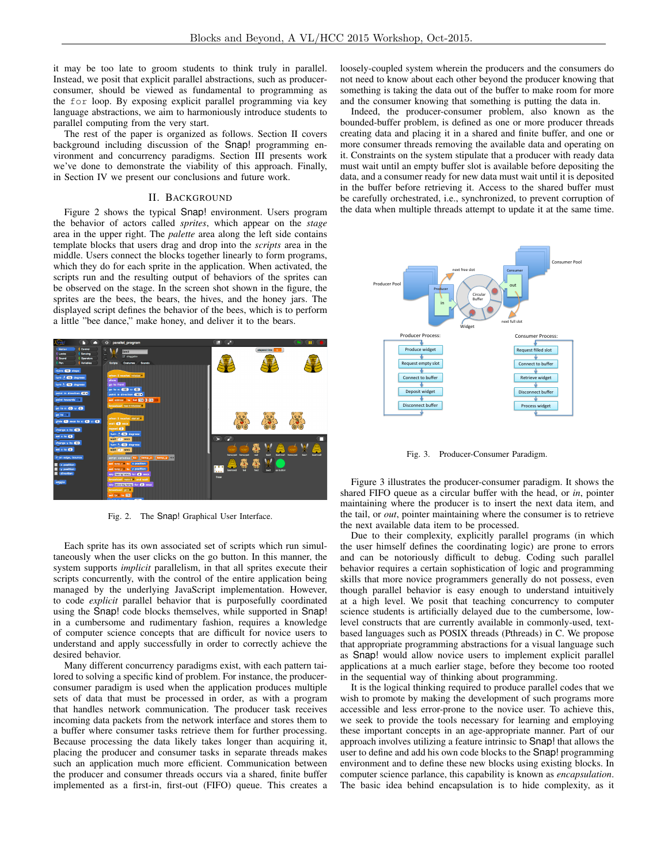it may be too late to groom students to think truly in parallel. Instead, we posit that explicit parallel abstractions, such as producerconsumer, should be viewed as fundamental to programming as the for loop. By exposing explicit parallel programming via key language abstractions, we aim to harmoniously introduce students to parallel computing from the very start.

The rest of the paper is organized as follows. Section II covers background including discussion of the Snap! programming environment and concurrency paradigms. Section III presents work we've done to demonstrate the viability of this approach. Finally, in Section IV we present our conclusions and future work.

### II. BACKGROUND

Figure 2 shows the typical Snap! environment. Users program the behavior of actors called *sprites*, which appear on the *stage* area in the upper right. The *palette* area along the left side contains template blocks that users drag and drop into the *scripts* area in the middle. Users connect the blocks together linearly to form programs, which they do for each sprite in the application. When activated, the scripts run and the resulting output of behaviors of the sprites can be observed on the stage. In the screen shot shown in the figure, the sprites are the bees, the bears, the hives, and the honey jars. The displayed script defines the behavior of the bees, which is to perform a little "bee dance," make honey, and deliver it to the bears.



Fig. 2. The Snap! Graphical User Interface.

Each sprite has its own associated set of scripts which run simultaneously when the user clicks on the go button. In this manner, the system supports *implicit* parallelism, in that all sprites execute their scripts concurrently, with the control of the entire application being managed by the underlying JavaScript implementation. However, to code *explicit* parallel behavior that is purposefully coordinated using the Snap! code blocks themselves, while supported in Snap! in a cumbersome and rudimentary fashion, requires a knowledge of computer science concepts that are difficult for novice users to understand and apply successfully in order to correctly achieve the desired behavior.

Many different concurrency paradigms exist, with each pattern tailored to solving a specific kind of problem. For instance, the producerconsumer paradigm is used when the application produces multiple sets of data that must be processed in order, as with a program that handles network communication. The producer task receives incoming data packets from the network interface and stores them to a buffer where consumer tasks retrieve them for further processing. Because processing the data likely takes longer than acquiring it, placing the producer and consumer tasks in separate threads makes such an application much more efficient. Communication between the producer and consumer threads occurs via a shared, finite buffer implemented as a first-in, first-out (FIFO) queue. This creates a loosely-coupled system wherein the producers and the consumers do not need to know about each other beyond the producer knowing that something is taking the data out of the buffer to make room for more and the consumer knowing that something is putting the data in.

Indeed, the producer-consumer problem, also known as the bounded-buffer problem, is defined as one or more producer threads creating data and placing it in a shared and finite buffer, and one or more consumer threads removing the available data and operating on it. Constraints on the system stipulate that a producer with ready data must wait until an empty buffer slot is available before depositing the data, and a consumer ready for new data must wait until it is deposited in the buffer before retrieving it. Access to the shared buffer must be carefully orchestrated, i.e., synchronized, to prevent corruption of the data when multiple threads attempt to update it at the same time.



Fig. 3. Producer-Consumer Paradigm.

Figure 3 illustrates the producer-consumer paradigm. It shows the shared FIFO queue as a circular buffer with the head, or *in*, pointer maintaining where the producer is to insert the next data item, and the tail, or *out*, pointer maintaining where the consumer is to retrieve the next available data item to be processed.

Due to their complexity, explicitly parallel programs (in which the user himself defines the coordinating logic) are prone to errors and can be notoriously difficult to debug. Coding such parallel behavior requires a certain sophistication of logic and programming skills that more novice programmers generally do not possess, even though parallel behavior is easy enough to understand intuitively at a high level. We posit that teaching concurrency to computer science students is artificially delayed due to the cumbersome, lowlevel constructs that are currently available in commonly-used, textbased languages such as POSIX threads (Pthreads) in C. We propose that appropriate programming abstractions for a visual language such as Snap! would allow novice users to implement explicit parallel applications at a much earlier stage, before they become too rooted in the sequential way of thinking about programming.

It is the logical thinking required to produce parallel codes that we wish to promote by making the development of such programs more accessible and less error-prone to the novice user. To achieve this, we seek to provide the tools necessary for learning and employing these important concepts in an age-appropriate manner. Part of our approach involves utilizing a feature intrinsic to Snap! that allows the user to define and add his own code blocks to the Snap! programming environment and to define these new blocks using existing blocks. In computer science parlance, this capability is known as *encapsulation*. The basic idea behind encapsulation is to hide complexity, as it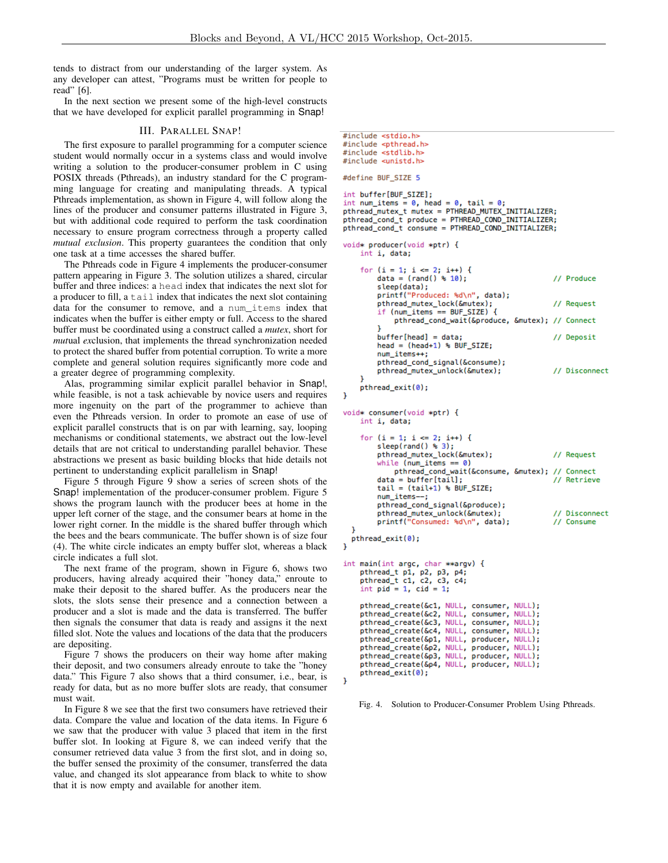tends to distract from our understanding of the larger system. As any developer can attest, "Programs must be written for people to read" [6].

In the next section we present some of the high-level constructs that we have developed for explicit parallel programming in Snap!

## III. PARALLEL SNAP!

The first exposure to parallel programming for a computer science student would normally occur in a systems class and would involve writing a solution to the producer-consumer problem in C using POSIX threads (Pthreads), an industry standard for the C programming language for creating and manipulating threads. A typical Pthreads implementation, as shown in Figure 4, will follow along the lines of the producer and consumer patterns illustrated in Figure 3, but with additional code required to perform the task coordination necessary to ensure program correctness through a property called *mutual exclusion*. This property guarantees the condition that only one task at a time accesses the shared buffer.

The Pthreads code in Figure 4 implements the producer-consumer pattern appearing in Figure 3. The solution utilizes a shared, circular buffer and three indices: a head index that indicates the next slot for a producer to fill, a tail index that indicates the next slot containing data for the consumer to remove, and a num\_items index that indicates when the buffer is either empty or full. Access to the shared buffer must be coordinated using a construct called a *mutex*, short for *mut*ual *ex*clusion, that implements the thread synchronization needed to protect the shared buffer from potential corruption. To write a more complete and general solution requires significantly more code and a greater degree of programming complexity.

Alas, programming similar explicit parallel behavior in Snap!, while feasible, is not a task achievable by novice users and requires more ingenuity on the part of the programmer to achieve than even the Pthreads version. In order to promote an ease of use of explicit parallel constructs that is on par with learning, say, looping mechanisms or conditional statements, we abstract out the low-level details that are not critical to understanding parallel behavior. These abstractions we present as basic building blocks that hide details not pertinent to understanding explicit parallelism in Snap!

Figure 5 through Figure 9 show a series of screen shots of the Snap! implementation of the producer-consumer problem. Figure 5 shows the program launch with the producer bees at home in the upper left corner of the stage, and the consumer bears at home in the lower right corner. In the middle is the shared buffer through which the bees and the bears communicate. The buffer shown is of size four (4). The white circle indicates an empty buffer slot, whereas a black circle indicates a full slot.

The next frame of the program, shown in Figure 6, shows two producers, having already acquired their "honey data," enroute to make their deposit to the shared buffer. As the producers near the slots, the slots sense their presence and a connection between a producer and a slot is made and the data is transferred. The buffer then signals the consumer that data is ready and assigns it the next filled slot. Note the values and locations of the data that the producers are depositing.

Figure 7 shows the producers on their way home after making their deposit, and two consumers already enroute to take the "honey data." This Figure 7 also shows that a third consumer, i.e., bear, is ready for data, but as no more buffer slots are ready, that consumer must wait.

In Figure 8 we see that the first two consumers have retrieved their data. Compare the value and location of the data items. In Figure 6 we saw that the producer with value 3 placed that item in the first buffer slot. In looking at Figure 8, we can indeed verify that the consumer retrieved data value 3 from the first slot, and in doing so, the buffer sensed the proximity of the consumer, transferred the data value, and changed its slot appearance from black to white to show that it is now empty and available for another item.

```
#include <stdio.h>
#include <pthread.h>
#include <stdlib.h>
#include <unistd.h>
#define BUF_SIZE 5
int buffer[BUF SIZE]:
int num_items = 0, head = 0, tail = 0;
pthread_mutex_t mutex = PTHREAD_MUTEX_INITIALIZER;
pthread_cond_t produce = PTHREAD_COND_INITIALIZER;
pthread_cond_t_consume = PTHREAD_COND_INITIALIZER;
void* producer(void *ptr) {
    int i. data:
    for (i = 1; i \le 2; i++) {
        data = (rand() % 10);// Produce
        sleep(data);
        printf("Produced: %d\n", data);
        pthread_mutex_lock(&mutex);
                                                  // Request
           (num\_items == BUF_SIZE) {
        if
            pthread_cond_wait(&produce, &mutex); // Connect
        buffer[head] = data;// Deposit
        head = (head+1) % BUF_SIZE;
        num items++:
        pthread cond signal(&consume);
        pthread mutex unlock(&mutex);
                                                  // Disconnect
    Þ
    pthread_exit(0);
ı
void* consumer(void *ptr) {
    int i, data;
    for (i = 1; i \le 2; i++) {
        sleep(rand() % 3);pthread_mutex_lock(&mutex);
                                                  // Request
        while (num_items == 0)
           pthread cond wait (&consume, &mutex); // Connect
        data = buffer[tail];// Retrieve
        tail = (tail+1) % BUF_SIZE;
        num_items--;
        pthread_cond_signal(&produce);
        pthread_mutex_unlock(&mutex);
                                                  // Disconnect
        printf("Consumed: %d\n", data);
                                                  // Consume
  pthread_exit(0);
¥
int main(int argc, char **argv) {
    pthread_t p1, p2, p3, p4;
    pthread_t c1, c2, c3, c4;
    int pid = 1, cid = 1;
    pthread_create(&c1, NULL, consumer, NULL);
    pthread_create(&c2, NULL, consumer, NULL);
    pthread_create(&c3, NULL, consumer, NULL);
    pthread_create(&c4, NULL, consumer, NULL);
    pthread_create(&p1, NULL, producer, NULL);
    pthread_create(&p2, NULL, producer, NULL);
    pthread_create(&p3, NULL, producer, NULL);
    pthread_create(&p4, NULL, producer, NULL);
    pthread_exit(0);
Þ
```
Fig. 4. Solution to Producer-Consumer Problem Using Pthreads.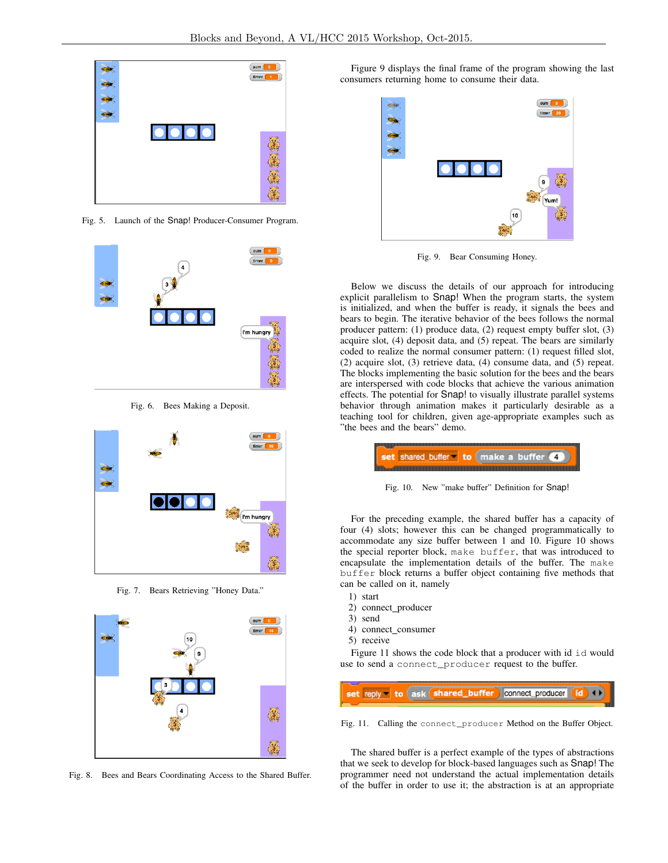

Fig. 5. Launch of the Snap! Producer-Consumer Program.



Fig. 6. Bees Making a Deposit.



Fig. 7. Bears Retrieving "Honey Data."



Fig. 8. Bees and Bears Coordinating Access to the Shared Buffer.

Figure 9 displays the final frame of the program showing the last consumers returning home to consume their data.



Fig. 9. Bear Consuming Honey.

Below we discuss the details of our approach for introducing explicit parallelism to Snap! When the program starts, the system is initialized, and when the buffer is ready, it signals the bees and bears to begin. The iterative behavior of the bees follows the normal producer pattern: (1) produce data, (2) request empty buffer slot, (3) acquire slot, (4) deposit data, and (5) repeat. The bears are similarly coded to realize the normal consumer pattern: (1) request filled slot, (2) acquire slot, (3) retrieve data, (4) consume data, and (5) repeat. The blocks implementing the basic solution for the bees and the bears are interspersed with code blocks that achieve the various animation effects. The potential for Snap! to visually illustrate parallel systems behavior through animation makes it particularly desirable as a teaching tool for children, given age-appropriate examples such as "the bees and the bears" demo.

|  | shared buffer   to   make a buffer |
|--|------------------------------------|
|  |                                    |

Fig. 10. New "make buffer" Definition for Snap!

For the preceding example, the shared buffer has a capacity of four (4) slots; however this can be changed programmatically to accommodate any size buffer between 1 and 10. Figure 10 shows the special reporter block, make buffer, that was introduced to encapsulate the implementation details of the buffer. The make buffer block returns a buffer object containing five methods that can be called on it, namely

- 1) start
- 2) connect producer
- 3) send
- 4) connect\_consumer
- 5) receive

Figure 11 shows the code block that a producer with id id would use to send a connect\_producer request to the buffer.



Fig. 11. Calling the connect\_producer Method on the Buffer Object.

The shared buffer is a perfect example of the types of abstractions that we seek to develop for block-based languages such as Snap! The programmer need not understand the actual implementation details of the buffer in order to use it; the abstraction is at an appropriate